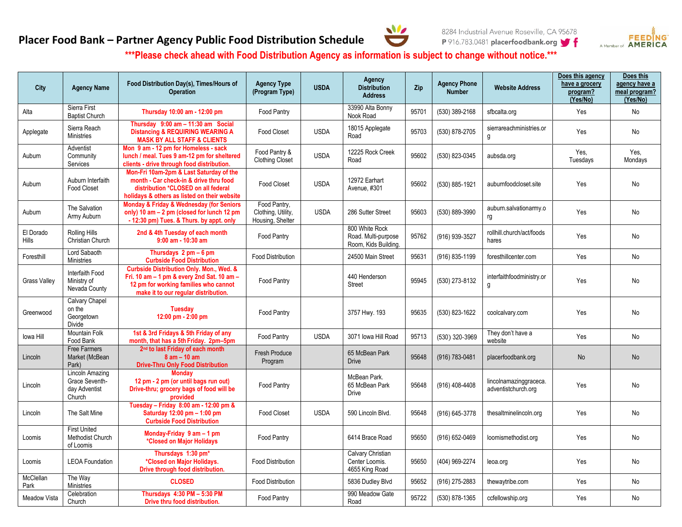## **Placer Food Bank – Partner Agency Public Food Distribution Schedule**





**\*\*\*Please check ahead with Food Distribution Agency as information is subject to change without notice.\*\*\***

| City                      | <b>Agency Name</b>                                           | Food Distribution Day(s), Times/Hours of<br><b>Operation</b>                                                                                                             | <b>Agency Type</b><br>(Program Type)                   | <b>USDA</b> | Agency<br><b>Distribution</b><br><b>Address</b>               | Zip   | <b>Agency Phone</b><br><b>Number</b> | <b>Website Address</b>                        | Does this agency<br>have a grocery<br>program?<br>(Yes/No) | Does this<br>agency have a<br>meal program?<br>(Yes/No) |
|---------------------------|--------------------------------------------------------------|--------------------------------------------------------------------------------------------------------------------------------------------------------------------------|--------------------------------------------------------|-------------|---------------------------------------------------------------|-------|--------------------------------------|-----------------------------------------------|------------------------------------------------------------|---------------------------------------------------------|
| Alta                      | Sierra First<br><b>Baptist Church</b>                        | Thursday 10:00 am - 12:00 pm                                                                                                                                             | Food Pantry                                            |             | 33990 Alta Bonny<br>Nook Road                                 | 95701 | (530) 389-2168                       | sfbcalta.org                                  | Yes                                                        | No                                                      |
| Applegate                 | Sierra Reach<br><b>Ministries</b>                            | Thursday 9:00 am - 11:30 am Social<br><b>Distancing &amp; REQUIRING WEARING A</b><br><b>MASK BY ALL STAFF &amp; CLIENTS</b>                                              | Food Closet                                            | <b>USDA</b> | 18015 Applegate<br>Road                                       | 95703 | (530) 878-2705                       | sierrareachministries.or<br>g                 | Yes                                                        | No                                                      |
| Auburn                    | Adventist<br>Community<br>Services                           | Mon 9 am - 12 pm for Homeless - sack<br>lunch / meal. Tues 9 am-12 pm for sheltered<br>clients - drive through food distribution.                                        | Food Pantry &<br><b>Clothing Closet</b>                | <b>USDA</b> | 12225 Rock Creek<br>Road                                      | 95602 | (530) 823-0345                       | aubsda.org                                    | Yes,<br>Tuesdays                                           | Yes,<br>Mondays                                         |
| Auburn                    | Auburn Interfaith<br><b>Food Closet</b>                      | Mon-Fri 10am-2pm & Last Saturday of the<br>month - Car check-in & drive thru food<br>distribution *CLOSED on all federal<br>holidays & others as listed on their website | <b>Food Closet</b>                                     | <b>USDA</b> | 12972 Earhart<br>Avenue, #301                                 | 95602 | (530) 885-1921                       | auburnfoodcloset.site                         | Yes                                                        | No                                                      |
| Auburn                    | The Salvation<br>Army Auburn                                 | Monday & Friday & Wednesday (for Seniors<br>only) 10 am - 2 pm (closed for lunch 12 pm<br>- 12:30 pm) Tues. & Thurs. by appt. only                                       | Food Pantry.<br>Clothing, Utility,<br>Housing, Shelter | <b>USDA</b> | 286 Sutter Street                                             | 95603 | (530) 889-3990                       | auburn.salvationarmy.o<br>rg                  | Yes                                                        | No                                                      |
| El Dorado<br><b>Hills</b> | <b>Rolling Hills</b><br>Christian Church                     | 2nd & 4th Tuesday of each month<br>$9:00$ am - $10:30$ am                                                                                                                | Food Pantry                                            |             | 800 White Rock<br>Road. Multi-purpose<br>Room, Kids Building. | 95762 | (916) 939-3527                       | rollhill.church/act/foods<br>hares            | Yes                                                        | No                                                      |
| Foresthill                | Lord Sabaoth<br><b>Ministries</b>                            | Thursdays $2 \text{ pm} - 6 \text{ pm}$<br><b>Curbside Food Distribution</b>                                                                                             | <b>Food Distribution</b>                               |             | 24500 Main Street                                             | 95631 | (916) 835-1199                       | foresthillcenter.com                          | Yes                                                        | No                                                      |
| <b>Grass Valley</b>       | Interfaith Food<br>Ministry of<br>Nevada County              | Curbside Distribution Only. Mon., Wed. &<br>Fri. 10 am - 1 pm & every 2nd Sat. 10 am -<br>12 pm for working families who cannot<br>make it to our regular distribution.  | <b>Food Pantry</b>                                     |             | 440 Henderson<br><b>Street</b>                                | 95945 | (530) 273-8132                       | interfaithfoodministry.or<br>g                | Yes                                                        | No                                                      |
| Greenwood                 | Calvary Chapel<br>on the<br>Georgetown<br>Divide             | <b>Tuesday</b><br>12:00 pm - 2:00 pm                                                                                                                                     | Food Pantry                                            |             | 3757 Hwy. 193                                                 | 95635 | (530) 823-1622                       | coolcalvary.com                               | Yes                                                        | No                                                      |
| lowa Hill                 | <b>Mountain Folk</b><br>Food Bank                            | 1st & 3rd Fridays & 5th Friday of any<br>month, that has a 5th Friday. 2pm-5pm                                                                                           | Food Pantry                                            | <b>USDA</b> | 3071 Iowa Hill Road                                           | 95713 | (530) 320-3969                       | They don't have a<br>website                  | Yes                                                        | No                                                      |
| Lincoln                   | Free Farmers<br>Market (McBean<br>Park)                      | 2 <sup>nd</sup> to last Friday of each month<br>$8$ am $-$ 10 am<br><b>Drive-Thru Only Food Distribution</b>                                                             | <b>Fresh Produce</b><br>Program                        |             | 65 McBean Park<br><b>Drive</b>                                | 95648 | (916) 783-0481                       | placerfoodbank.org                            | <b>No</b>                                                  | <b>No</b>                                               |
| Lincoln                   | Lincoln Amazing<br>Grace Seventh-<br>day Adventist<br>Church | <b>Monday</b><br>12 pm - 2 pm (or until bags run out)<br>Drive-thru; grocery bags of food will be<br>provided                                                            | Food Pantry                                            |             | McBean Park.<br>65 McBean Park<br>Drive                       | 95648 | (916) 408-4408                       | lincolnamazinggraceca.<br>adventistchurch.org | Yes                                                        | No                                                      |
| Lincoln                   | The Salt Mine                                                | Tuesday - Friday 8:00 am - 12:00 pm &<br>Saturday 12:00 pm - 1:00 pm<br><b>Curbside Food Distribution</b>                                                                | Food Closet                                            | <b>USDA</b> | 590 Lincoln Blvd.                                             | 95648 | (916) 645-3778                       | thesaltminelincoln.org                        | Yes                                                        | No                                                      |
| Loomis                    | <b>First United</b><br>Methodist Church<br>of Loomis         | Monday-Friday $9$ am $-1$ pm<br>*Closed on Major Holidays                                                                                                                | Food Pantry                                            |             | 6414 Brace Road                                               | 95650 | (916) 652-0469                       | loomismethodist.org                           | Yes                                                        | No                                                      |
| Loomis                    | <b>LEOA Foundation</b>                                       | Thursdays 1:30 pm*<br>*Closed on Major Holidays.<br>Drive through food distribution.                                                                                     | <b>Food Distribution</b>                               |             | Calvary Christian<br>Center Loomis.<br>4655 King Road         | 95650 | (404) 969-2274                       | leoa.org                                      | Yes                                                        | No                                                      |
| McClellan<br>Park         | The Way<br><b>Ministries</b>                                 | <b>CLOSED</b>                                                                                                                                                            | Food Distribution                                      |             | 5836 Dudley Blvd                                              | 95652 | (916) 275-2883                       | thewaytribe.com                               | Yes                                                        | No                                                      |
| <b>Meadow Vista</b>       | Celebration<br>Church                                        | Thursdavs 4:30 PM - 5:30 PM<br>Drive thru food distribution.                                                                                                             | Food Pantry                                            |             | 990 Meadow Gate<br>Road                                       | 95722 | (530) 878-1365                       | ccfellowship.org                              | Yes                                                        | No                                                      |